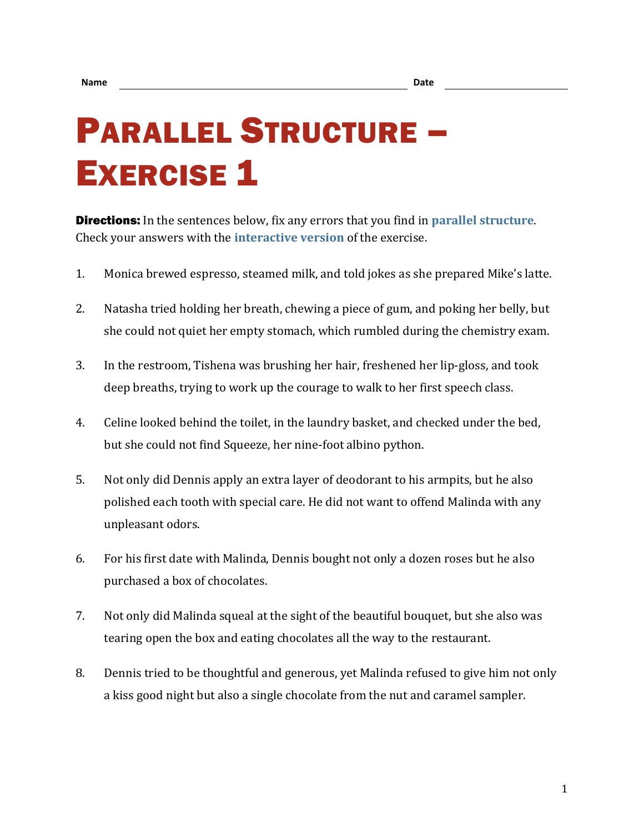## PARALLEL STRUCTURE – **EXERCISE 1**

Directions: In the sentences below, fix any errors that you find in **[parallel structure](https://chompchomp.com/terms/parallelstructure.htm)**. Check your answers with the **[interactive version](https://chompchomp.com/structure01/)** of the exercise.

- 1. Monica brewed espresso, steamed milk, and told jokes as she prepared Mike's latte.
- 2. Natasha tried holding her breath, chewing a piece of gum, and poking her belly, but she could not quiet her empty stomach, which rumbled during the chemistry exam.
- 3. In the restroom, Tishena was brushing her hair, freshened her lip-gloss, and took deep breaths, trying to work up the courage to walk to her first speech class.
- 4. Celine looked behind the toilet, in the laundry basket, and checked under the bed, but she could not find Squeeze, her nine-foot albino python.
- 5. Not only did Dennis apply an extra layer of deodorant to his armpits, but he also polished each tooth with special care. He did not want to offend Malinda with any unpleasant odors.
- 6. For his first date with Malinda, Dennis bought not only a dozen roses but he also purchased a box of chocolates.
- 7. Not only did Malinda squeal at the sight of the beautiful bouquet, but she also was tearing open the box and eating chocolates all the way to the restaurant.
- 8. Dennis tried to be thoughtful and generous, yet Malinda refused to give him not only a kiss good night but also a single chocolate from the nut and caramel sampler.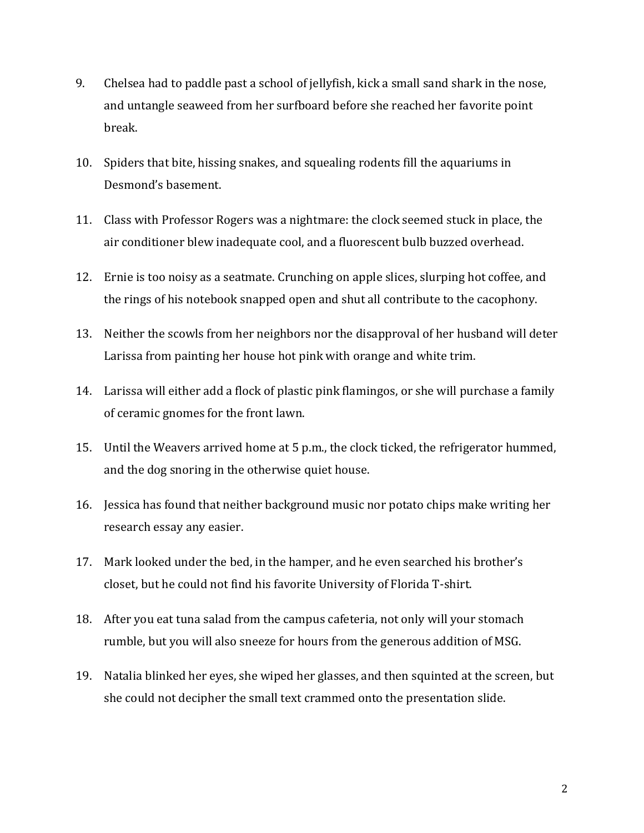- 9. Chelsea had to paddle past a school of jellyfish, kick a small sand shark in the nose, and untangle seaweed from her surfboard before she reached her favorite point break.
- 10. Spiders that bite, hissing snakes, and squealing rodents fill the aquariums in Desmond's basement.
- 11. Class with Professor Rogers was a nightmare: the clock seemed stuck in place, the air conditioner blew inadequate cool, and a fluorescent bulb buzzed overhead.
- 12. Ernie is too noisy as a seatmate. Crunching on apple slices, slurping hot coffee, and the rings of his notebook snapped open and shut all contribute to the cacophony.
- 13. Neither the scowls from her neighbors nor the disapproval of her husband will deter Larissa from painting her house hot pink with orange and white trim.
- 14. Larissa will either add a flock of plastic pink flamingos, or she will purchase a family of ceramic gnomes for the front lawn.
- 15. Until the Weavers arrived home at 5 p.m., the clock ticked, the refrigerator hummed, and the dog snoring in the otherwise quiet house.
- 16. Jessica has found that neither background music nor potato chips make writing her research essay any easier.
- 17. Mark looked under the bed, in the hamper, and he even searched his brother's closet, but he could not find his favorite University of Florida T-shirt.
- 18. After you eat tuna salad from the campus cafeteria, not only will your stomach rumble, but you will also sneeze for hours from the generous addition of MSG.
- 19. Natalia blinked her eyes, she wiped her glasses, and then squinted at the screen, but she could not decipher the small text crammed onto the presentation slide.